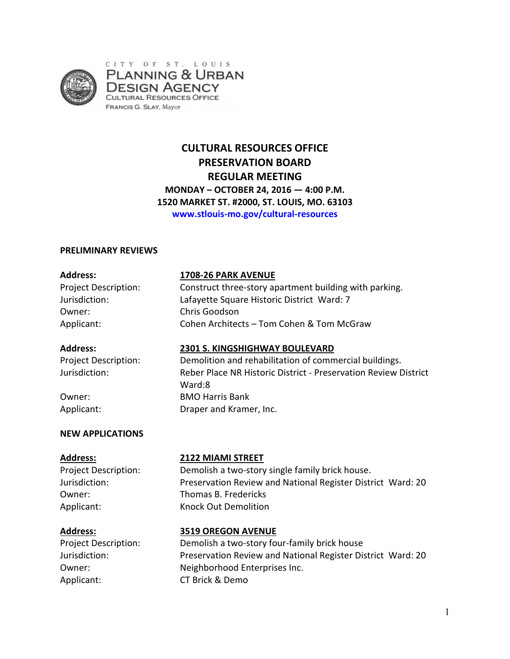

CITY OF ST. LOUIS **PLANNING & URBAN** DESIGN AGENCY **CULTURAL RESOURCES OFFICE FRANCIS G. SLAY, Mayor** 

# **CULTURAL RESOURCES OFFICE PRESERVATION BOARD REGULAR MEETING MONDAY – OCTOBER 24, 2016 — 4:00 P.M. 1520 MARKET ST. #2000, ST. LOUIS, MO. 63103 www.stlouis-mo.gov/cultural-resources**

### **PRELIMINARY REVIEWS**

Owner: Chris Goodson

# **Address: 1708-26 PARK AVENUE**

Project Description: Construct three-story apartment building with parking. Jurisdiction: Lafayette Square Historic District Ward: 7 Applicant: Cohen Architects – Tom Cohen & Tom McGraw

## **Address: 2301 S. KINGSHIGHWAY BOULEVARD**

Project Description: Demolition and rehabilitation of commercial buildings. Jurisdiction: Reber Place NR Historic District - Preservation Review District Ward:8 Owner: BMO Harris Bank Applicant: Draper and Kramer, Inc.

# **NEW APPLICATIONS**

### **Address: 2122 MIAMI STREET**

Project Description: Demolish a two-story single family brick house. Jurisdiction: Preservation Review and National Register District Ward: 20 Owner: Thomas B. Fredericks Applicant: Knock Out Demolition

# **Address: 3519 OREGON AVENUE**

Owner: Neighborhood Enterprises Inc. Applicant: CT Brick & Demo

Project Description: Demolish a two-story four-family brick house Jurisdiction: Preservation Review and National Register District Ward: 20